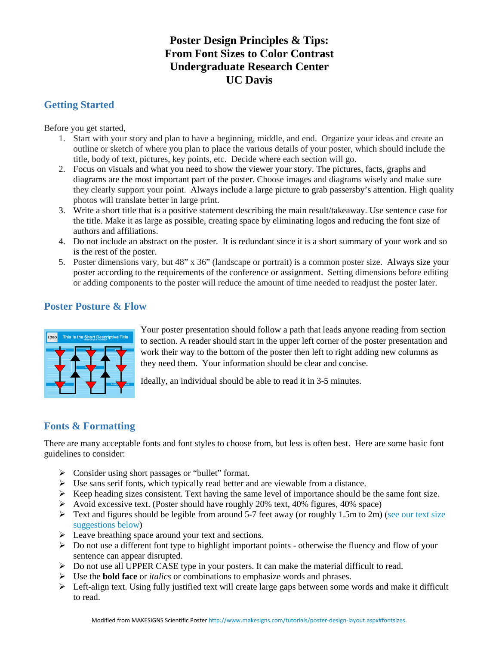# **Poster Design Principles & Tips: From Font Sizes to Color Contrast Undergraduate Research Center UC Davis**

## **Getting Started**

Before you get started,

- 1. Start with your story and plan to have a beginning, middle, and end. Organize your ideas and create an outline or sketch of where you plan to place the various details of your poster, which should include the title, body of text, pictures, key points, etc. Decide where each section will go.
- 2. Focus on visuals and what you need to show the viewer your story. The pictures, facts, graphs and diagrams are the most important part of the poster. Choose images and diagrams wisely and make sure they clearly support your point. Always include a large picture to grab passersby's attention. High quality photos will translate better in large print.
- 3. Write a short title that is a positive statement describing the main result/takeaway. Use sentence case for the title. Make it as large as possible, creating space by eliminating logos and reducing the font size of authors and affiliations.
- 4. Do not include an abstract on the poster. It is redundant since it is a short summary of your work and so is the rest of the poster.
- 5. Poster dimensions vary, but 48" x 36" (landscape or portrait) is a common poster size. Always size your poster according to the requirements of the conference or assignment. Setting dimensions before editing or adding components to the poster will reduce the amount of time needed to readjust the poster later.

## **Poster Posture & Flow**



Your poster presentation should follow a path that leads anyone reading from section to section. A reader should start in the upper left corner of the poster presentation and work their way to the bottom of the poster then left to right adding new columns as they need them. Your information should be clear and concise.

Ideally, an individual should be able to read it in 3-5 minutes.

## **Fonts & Formatting**

There are many acceptable fonts and font styles to choose from, but less is often best. Here are some basic font guidelines to consider:

- $\triangleright$  Consider using short passages or "bullet" format.
- $\triangleright$  Use sans serif fonts, which typically read better and are viewable from a distance.
- $\triangleright$  Keep heading sizes consistent. Text having the same level of importance should be the same font size.
- $\triangleright$  Avoid excessive text. (Poster should have roughly 20% text, 40% figures, 40% space)
- $\triangleright$  Text and figures should be legible from around 5-7 feet away (or roughly 1.5m to 2m) (see our text size [suggestions below\)](http://www.makesigns.com/tutorials/poster-design-layout.aspx#fontsizes)
- $\triangleright$  Leave breathing space around your text and sections.
- $\triangleright$  Do not use a different font type to highlight important points otherwise the fluency and flow of your sentence can appear disrupted.
- $\triangleright$  Do not use all UPPER CASE type in your posters. It can make the material difficult to read.
- Use the **bold face** or *italics* or combinations to emphasize words and phrases.
- $\triangleright$  Left-align text. Using fully justified text will create large gaps between some words and make it difficult to read.